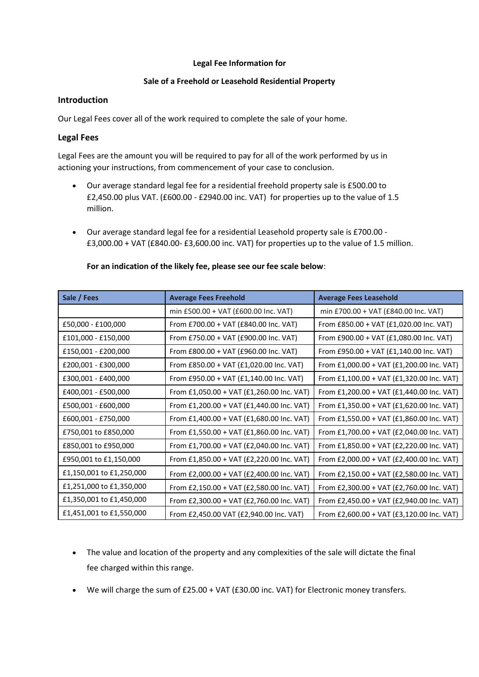### **Legal Fee Information for**

# **Sale of a Freehold or Leasehold Residential Property**

## **Introduction**

Our Legal Fees cover all of the work required to complete the sale of your home.

## **Legal Fees**

Legal Fees are the amount you will be required to pay for all of the work performed by us in actioning your instructions, from commencement of your case to conclusion.

- Our average standard legal fee for a residential freehold property sale is £500.00 to £2,450.00 plus VAT. (£600.00 - £2940.00 inc. VAT) for properties up to the value of 1.5 million.
- Our average standard legal fee for a residential Leasehold property sale is £700.00 £3,000.00 + VAT (£840.00- £3,600.00 inc. VAT) for properties up to the value of 1.5 million.

| Sale / Fees              | <b>Average Fees Freehold</b>              | <b>Average Fees Leasehold</b>             |
|--------------------------|-------------------------------------------|-------------------------------------------|
|                          | min £500.00 + VAT (£600.00 Inc. VAT)      | min £700.00 + VAT (£840.00 Inc. VAT)      |
| £50,000 - £100,000       | From £700.00 + VAT (£840.00 Inc. VAT)     | From £850.00 + VAT (£1,020.00 Inc. VAT)   |
| £101,000 - £150,000      | From £750.00 + VAT (£900.00 Inc. VAT)     | From £900.00 + VAT (£1,080.00 Inc. VAT)   |
| £150,001 - £200,000      | From £800.00 + VAT (£960.00 Inc. VAT)     | From £950.00 + VAT (£1,140.00 Inc. VAT)   |
| £200,001 - £300,000      | From £850.00 + VAT (£1,020.00 Inc. VAT)   | From £1,000.00 + VAT (£1,200.00 Inc. VAT) |
| £300,001 - £400,000      | From £950.00 + VAT (£1,140.00 Inc. VAT)   | From £1,100.00 + VAT (£1,320.00 Inc. VAT) |
| £400,001 - £500,000      | From £1,050.00 + VAT (£1,260.00 Inc. VAT) | From £1,200.00 + VAT (£1,440.00 Inc. VAT) |
| £500,001 - £600,000      | From £1,200.00 + VAT (£1,440.00 Inc. VAT) | From £1,350.00 + VAT (£1,620.00 Inc. VAT) |
| £600,001 - £750,000      | From £1,400.00 + VAT (£1,680.00 Inc. VAT) | From £1,550.00 + VAT (£1,860.00 Inc. VAT) |
| £750,001 to £850,000     | From £1,550.00 + VAT (£1,860.00 Inc. VAT) | From £1,700.00 + VAT (£2,040.00 Inc. VAT) |
| £850,001 to £950,000     | From £1,700.00 + VAT (£2,040.00 Inc. VAT) | From £1,850.00 + VAT (£2,220.00 Inc. VAT) |
| £950,001 to £1,150,000   | From £1,850.00 + VAT (£2,220.00 Inc. VAT) | From £2,000.00 + VAT (£2,400.00 Inc. VAT) |
| £1,150,001 to £1,250,000 | From £2,000.00 + VAT (£2,400.00 Inc. VAT) | From £2,150.00 + VAT (£2,580.00 Inc. VAT) |
| £1,251,000 to £1,350,000 | From £2,150.00 + VAT (£2,580.00 Inc. VAT) | From £2,300.00 + VAT (£2,760.00 Inc. VAT) |
| £1,350,001 to £1,450,000 | From £2,300.00 + VAT (£2,760.00 Inc. VAT) | From £2,450.00 + VAT (£2,940.00 Inc. VAT) |
| £1,451,001 to £1,550,000 | From £2,450.00 VAT (£2,940.00 Inc. VAT)   | From £2,600.00 + VAT (£3,120.00 Inc. VAT) |

#### **For an indication of the likely fee, please see our fee scale below**:

- The value and location of the property and any complexities of the sale will dictate the final fee charged within this range.
- We will charge the sum of £25.00 + VAT (£30.00 inc. VAT) for Electronic money transfers.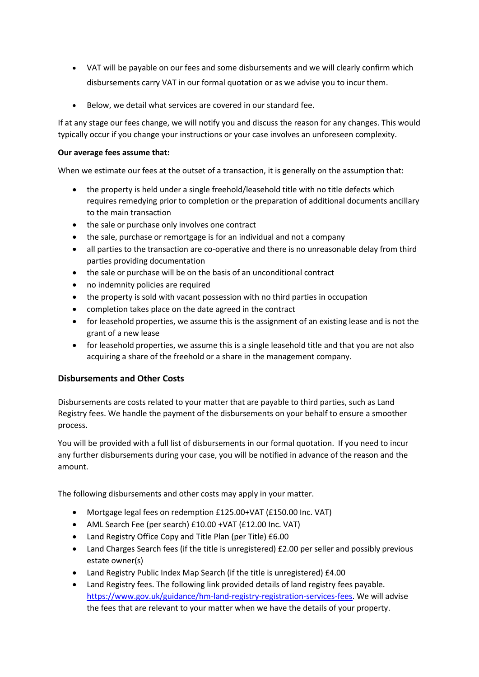- VAT will be payable on our fees and some disbursements and we will clearly confirm which disbursements carry VAT in our formal quotation or as we advise you to incur them.
- Below, we detail what services are covered in our standard fee.

If at any stage our fees change, we will notify you and discuss the reason for any changes. This would typically occur if you change your instructions or your case involves an unforeseen complexity.

## **Our average fees assume that:**

When we estimate our fees at the outset of a transaction, it is generally on the assumption that:

- the property is held under a single freehold/leasehold title with no title defects which requires remedying prior to completion or the preparation of additional documents ancillary to the main transaction
- the sale or purchase only involves one contract
- the sale, purchase or remortgage is for an individual and not a company
- all parties to the transaction are co-operative and there is no unreasonable delay from third parties providing documentation
- the sale or purchase will be on the basis of an unconditional contract
- no indemnity policies are required
- the property is sold with vacant possession with no third parties in occupation
- completion takes place on the date agreed in the contract
- for leasehold properties, we assume this is the assignment of an existing lease and is not the grant of a new lease
- for leasehold properties, we assume this is a single leasehold title and that you are not also acquiring a share of the freehold or a share in the management company.

# **Disbursements and Other Costs**

Disbursements are costs related to your matter that are payable to third parties, such as Land Registry fees. We handle the payment of the disbursements on your behalf to ensure a smoother process.

You will be provided with a full list of disbursements in our formal quotation. If you need to incur any further disbursements during your case, you will be notified in advance of the reason and the amount.

The following disbursements and other costs may apply in your matter.

- Mortgage legal fees on redemption £125.00+VAT (£150.00 Inc. VAT)
- AML Search Fee (per search) £10.00 +VAT (£12.00 Inc. VAT)
- Land Registry Office Copy and Title Plan (per Title) £6.00
- Land Charges Search fees (if the title is unregistered) £2.00 per seller and possibly previous estate owner(s)
- Land Registry Public Index Map Search (if the title is unregistered) £4.00
- Land Registry fees. The following link provided details of land registry fees payable. [https://www.gov.uk/guidance/hm-land-registry-registration-services-fees.](https://www.gov.uk/guidance/hm-land-registry-registration-services-fees) We will advise the fees that are relevant to your matter when we have the details of your property.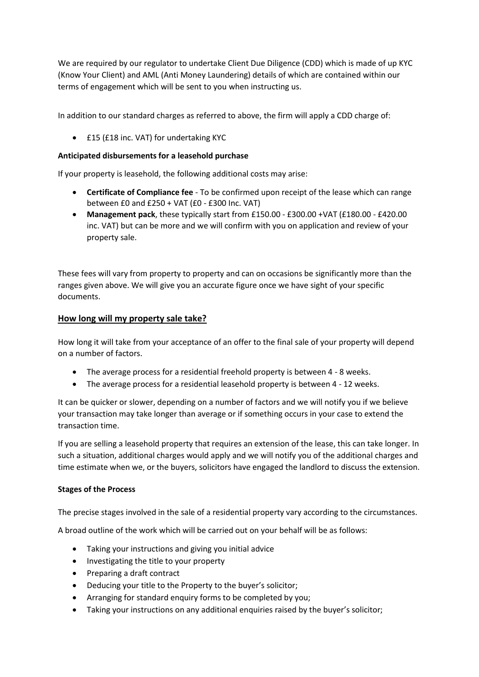We are required by our regulator to undertake Client Due Diligence (CDD) which is made of up KYC (Know Your Client) and AML (Anti Money Laundering) details of which are contained within our terms of engagement which will be sent to you when instructing us.

In addition to our standard charges as referred to above, the firm will apply a CDD charge of:

• £15 (£18 inc. VAT) for undertaking KYC

# **Anticipated disbursements for a leasehold purchase**

If your property is leasehold, the following additional costs may arise:

- **Certificate of Compliance fee** To be confirmed upon receipt of the lease which can range between £0 and £250 + VAT (£0 - £300 Inc. VAT)
- **Management pack**, these typically start from £150.00 £300.00 +VAT (£180.00 £420.00 inc. VAT) but can be more and we will confirm with you on application and review of your property sale.

These fees will vary from property to property and can on occasions be significantly more than the ranges given above. We will give you an accurate figure once we have sight of your specific documents.

# **How long will my property sale take?**

How long it will take from your acceptance of an offer to the final sale of your property will depend on a number of factors.

- The average process for a residential freehold property is between 4 8 weeks.
- The average process for a residential leasehold property is between 4 12 weeks.

It can be quicker or slower, depending on a number of factors and we will notify you if we believe your transaction may take longer than average or if something occurs in your case to extend the transaction time.

If you are selling a leasehold property that requires an extension of the lease, this can take longer. In such a situation, additional charges would apply and we will notify you of the additional charges and time estimate when we, or the buyers, solicitors have engaged the landlord to discuss the extension.

# **Stages of the Process**

The precise stages involved in the sale of a residential property vary according to the circumstances.

A broad outline of the work which will be carried out on your behalf will be as follows:

- Taking your instructions and giving you initial advice
- Investigating the title to your property
- Preparing a draft contract
- Deducing your title to the Property to the buyer's solicitor;
- Arranging for standard enquiry forms to be completed by you;
- Taking your instructions on any additional enquiries raised by the buyer's solicitor;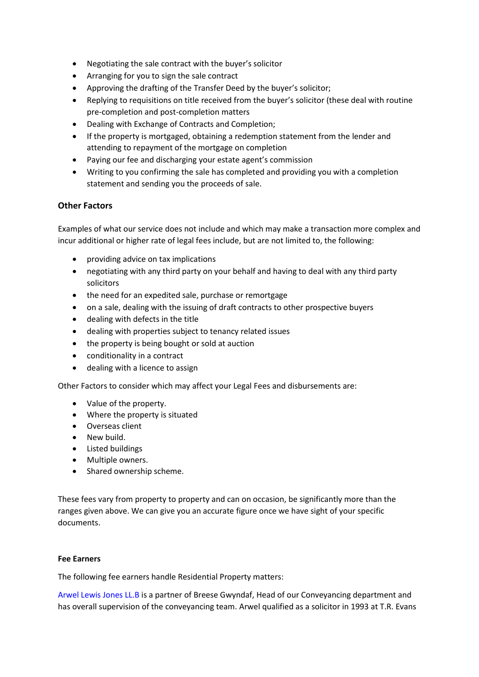- Negotiating the sale contract with the buyer's solicitor
- Arranging for you to sign the sale contract
- Approving the drafting of the Transfer Deed by the buyer's solicitor;
- Replying to requisitions on title received from the buyer's solicitor (these deal with routine pre-completion and post-completion matters
- Dealing with Exchange of Contracts and Completion;
- If the property is mortgaged, obtaining a redemption statement from the lender and attending to repayment of the mortgage on completion
- Paying our fee and discharging your estate agent's commission
- Writing to you confirming the sale has completed and providing you with a completion statement and sending you the proceeds of sale.

# **Other Factors**

Examples of what our service does not include and which may make a transaction more complex and incur additional or higher rate of legal fees include, but are not limited to, the following:

- providing advice on tax implications
- negotiating with any third party on your behalf and having to deal with any third party solicitors
- the need for an expedited sale, purchase or remortgage
- on a sale, dealing with the issuing of draft contracts to other prospective buyers
- dealing with defects in the title
- dealing with properties subject to tenancy related issues
- the property is being bought or sold at auction
- conditionality in a contract
- dealing with a licence to assign

Other Factors to consider which may affect your Legal Fees and disbursements are:

- Value of the property.
- Where the property is situated
- Overseas client
- New build.
- Listed buildings
- Multiple owners.
- Shared ownership scheme.

These fees vary from property to property and can on occasion, be significantly more than the ranges given above. We can give you an accurate figure once we have sight of your specific documents.

#### **Fee Earners**

The following fee earners handle Residential Property matters:

[Arwel Lewis Jones LL.B](https://www.breesegwyndaf.co.uk/EN/our-team/) is a partner of Breese Gwyndaf, Head of our Conveyancing department and has overall supervision of the conveyancing team. Arwel qualified as a solicitor in 1993 at T.R. Evans